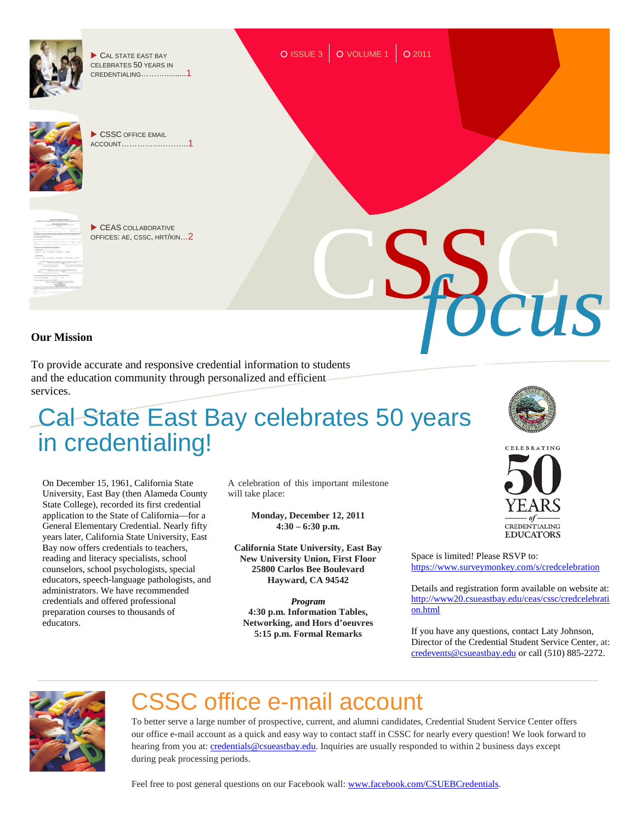

To provide accurate and responsive credential information to students and the education community through personalized and efficient services.

## Cal State East Bay celebrates 50 years in credentialing!

On December 15, 1961, California State University, East Bay (then Alameda County State College), recorded its first credential application to the State of California—for a General Elementary Credential. Nearly fifty years later, California State University, East Bay now offers credentials to teachers, reading and literacy specialists, school counselors, school psychologists, special educators, speech-language pathologists, and administrators. We have recommended credentials and offered professional preparation courses to thousands of educators.

A celebration of this important milestone will take place:

> **Monday, December 12, 2011 4:30 – 6:30 p.m.**

**California State University, East Bay New University Union, First Floor 25800 Carlos Bee Boulevard Hayward, CA 94542**

*Program* **4:30 p.m. Information Tables, Networking, and Hors d'oeuvres 5:15 p.m. Formal Remarks**





Space is limited! Please RSVP to: <https://www.surveymonkey.com/s/credcelebration>

Details and registration form available on website at: [http://www20.csueastbay.edu/ceas/cssc/credcelebrati](http://www20.csueastbay.edu/ceas/cssc/credcelebration.html) [on.html](http://www20.csueastbay.edu/ceas/cssc/credcelebration.html)

If you have any questions, contact Laty Johnson, Director of the Credential Student Service Center, at: [credevents@csueastbay.edu](mailto:credevents@csueastbay.edu) or call (510) 885-2272.



## CSSC office e-mail account

To better serve a large number of prospective, current, and alumni candidates, Credential Student Service Center offers our office e-mail account as a quick and easy way to contact staff in CSSC for nearly every question! We look forward to hearing from you at[: credentials@csueastbay.edu.](mailto:credentials@csueastbay.edu) Inquiries are usually responded to within 2 business days except during peak processing periods.

Feel free to post general questions on our Facebook wall: [www.facebook.com/CSUEBCredentials.](http://www.facebook.com/CSUEBCredentials)